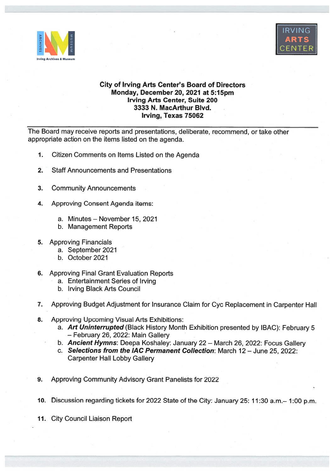



## City of Irving Arts Center's Board of Directors Monday, December 20, 2021 at 5:15pm Irving Arts Center, Suite 200 3333 N. MacArthur Blvd. Irving, Texas 75062

The Board may receive reports and presentations, deliberate, recommend, or take other appropriate action on the items listed on the agenda.

- 1. Citizen Comments on Items Listed on the Agenda
- 2. Staff Announcements and Presentations
- 3. Community Announcements
- 4. Approving Consent Agenda items:
	- a. Minutes November 15, 2021
	- b. Management Reports
- 5. Approving Financials
	- a. September 2021
	- b. October 2021
- 6. Approving Final Grant Evaluation Reports
	- a. Entertainment Series of Irving
	- b. Irving Black Arts Council
- 7. Approving Budget Adjustment for Insurance Claim for Cyc Replacement in Carpenter Hall
- 8. Approving Upcoming Visual Arts Exhibitions:
	- a. Art Uninterrupted (Black History Month Exhibition presented by IBAC): February 5 — February 26, 2022: Main Gallery
	- b. Ancient Hymns: Deepa Koshaley: January 22 March 26, 2022: Focus Gallery
	- c. Selections from the IAC Permanent Collection: March 12 June 25, 2022: Carpenter Hall Lobby Gallery
- 9. Approving Community Advisory Grant Panelists for 2022
- 10. Discussion regarding tickets for <sup>2022</sup> State of the City: January 25: 11:30 a.m.— 1:00 p.m.
- 11. City Council Liaison Report